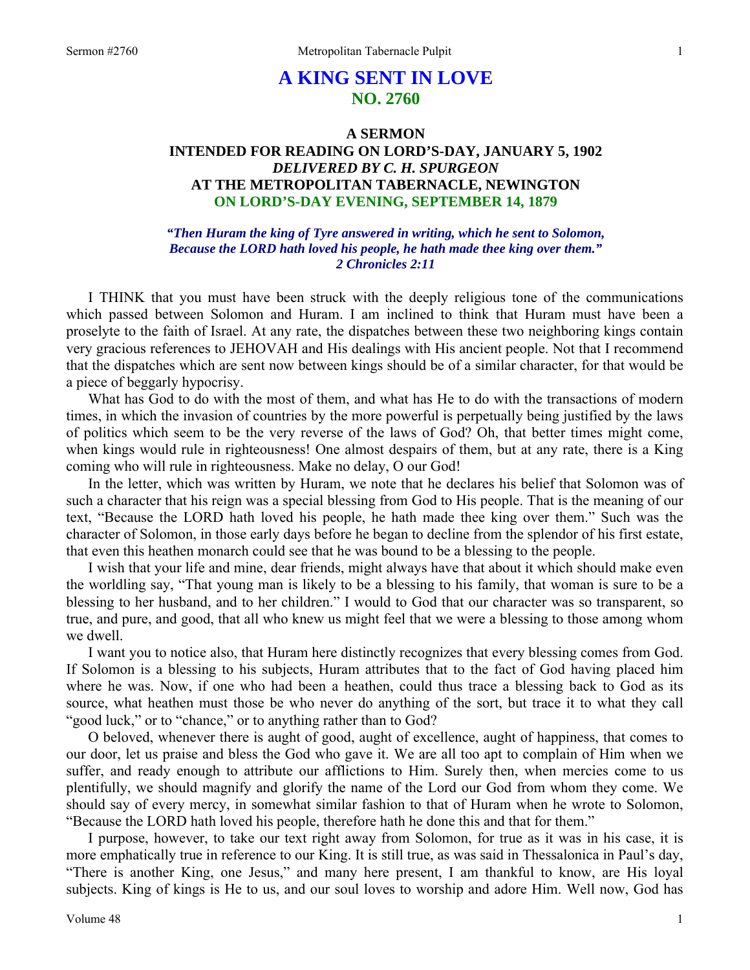# **A KING SENT IN LOVE NO. 2760**

# **A SERMON INTENDED FOR READING ON LORD'S-DAY, JANUARY 5, 1902**  *DELIVERED BY C. H. SPURGEON*  **AT THE METROPOLITAN TABERNACLE, NEWINGTON ON LORD'S-DAY EVENING, SEPTEMBER 14, 1879**

## *"Then Huram the king of Tyre answered in writing, which he sent to Solomon, Because the LORD hath loved his people, he hath made thee king over them." 2 Chronicles 2:11*

I THINK that you must have been struck with the deeply religious tone of the communications which passed between Solomon and Huram. I am inclined to think that Huram must have been a proselyte to the faith of Israel. At any rate, the dispatches between these two neighboring kings contain very gracious references to JEHOVAH and His dealings with His ancient people. Not that I recommend that the dispatches which are sent now between kings should be of a similar character, for that would be a piece of beggarly hypocrisy.

What has God to do with the most of them, and what has He to do with the transactions of modern times, in which the invasion of countries by the more powerful is perpetually being justified by the laws of politics which seem to be the very reverse of the laws of God? Oh, that better times might come, when kings would rule in righteousness! One almost despairs of them, but at any rate, there is a King coming who will rule in righteousness. Make no delay, O our God!

In the letter, which was written by Huram, we note that he declares his belief that Solomon was of such a character that his reign was a special blessing from God to His people. That is the meaning of our text, "Because the LORD hath loved his people, he hath made thee king over them." Such was the character of Solomon, in those early days before he began to decline from the splendor of his first estate, that even this heathen monarch could see that he was bound to be a blessing to the people.

I wish that your life and mine, dear friends, might always have that about it which should make even the worldling say, "That young man is likely to be a blessing to his family, that woman is sure to be a blessing to her husband, and to her children." I would to God that our character was so transparent, so true, and pure, and good, that all who knew us might feel that we were a blessing to those among whom we dwell.

I want you to notice also, that Huram here distinctly recognizes that every blessing comes from God. If Solomon is a blessing to his subjects, Huram attributes that to the fact of God having placed him where he was. Now, if one who had been a heathen, could thus trace a blessing back to God as its source, what heathen must those be who never do anything of the sort, but trace it to what they call "good luck," or to "chance," or to anything rather than to God?

O beloved, whenever there is aught of good, aught of excellence, aught of happiness, that comes to our door, let us praise and bless the God who gave it. We are all too apt to complain of Him when we suffer, and ready enough to attribute our afflictions to Him. Surely then, when mercies come to us plentifully, we should magnify and glorify the name of the Lord our God from whom they come. We should say of every mercy, in somewhat similar fashion to that of Huram when he wrote to Solomon, "Because the LORD hath loved his people, therefore hath he done this and that for them."

I purpose, however, to take our text right away from Solomon, for true as it was in his case, it is more emphatically true in reference to our King. It is still true, as was said in Thessalonica in Paul's day, "There is another King, one Jesus," and many here present, I am thankful to know, are His loyal subjects. King of kings is He to us, and our soul loves to worship and adore Him. Well now, God has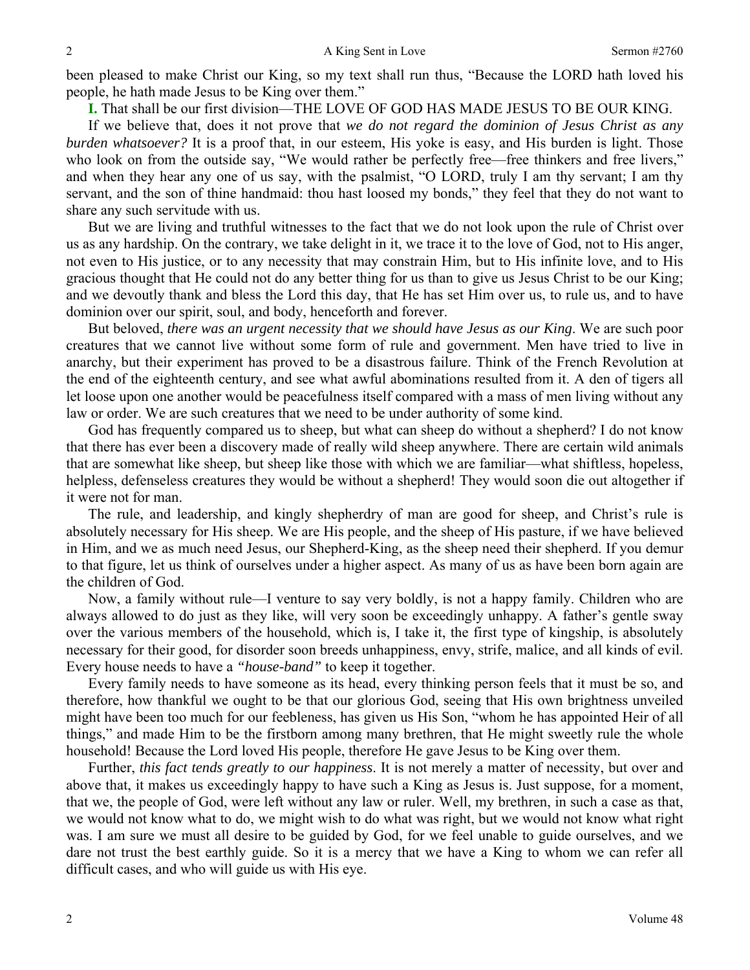been pleased to make Christ our King, so my text shall run thus, "Because the LORD hath loved his people, he hath made Jesus to be King over them."

**I.** That shall be our first division—THE LOVE OF GOD HAS MADE JESUS TO BE OUR KING.

If we believe that, does it not prove that *we do not regard the dominion of Jesus Christ as any burden whatsoever?* It is a proof that, in our esteem, His yoke is easy, and His burden is light. Those who look on from the outside say, "We would rather be perfectly free—free thinkers and free livers," and when they hear any one of us say, with the psalmist, "O LORD, truly I am thy servant; I am thy servant, and the son of thine handmaid: thou hast loosed my bonds," they feel that they do not want to share any such servitude with us.

But we are living and truthful witnesses to the fact that we do not look upon the rule of Christ over us as any hardship. On the contrary, we take delight in it, we trace it to the love of God, not to His anger, not even to His justice, or to any necessity that may constrain Him, but to His infinite love, and to His gracious thought that He could not do any better thing for us than to give us Jesus Christ to be our King; and we devoutly thank and bless the Lord this day, that He has set Him over us, to rule us, and to have dominion over our spirit, soul, and body, henceforth and forever.

But beloved, *there was an urgent necessity that we should have Jesus as our King*. We are such poor creatures that we cannot live without some form of rule and government. Men have tried to live in anarchy, but their experiment has proved to be a disastrous failure. Think of the French Revolution at the end of the eighteenth century, and see what awful abominations resulted from it. A den of tigers all let loose upon one another would be peacefulness itself compared with a mass of men living without any law or order. We are such creatures that we need to be under authority of some kind.

God has frequently compared us to sheep, but what can sheep do without a shepherd? I do not know that there has ever been a discovery made of really wild sheep anywhere. There are certain wild animals that are somewhat like sheep, but sheep like those with which we are familiar—what shiftless, hopeless, helpless, defenseless creatures they would be without a shepherd! They would soon die out altogether if it were not for man.

The rule, and leadership, and kingly shepherdry of man are good for sheep, and Christ's rule is absolutely necessary for His sheep. We are His people, and the sheep of His pasture, if we have believed in Him, and we as much need Jesus, our Shepherd-King, as the sheep need their shepherd. If you demur to that figure, let us think of ourselves under a higher aspect. As many of us as have been born again are the children of God.

Now, a family without rule—I venture to say very boldly, is not a happy family. Children who are always allowed to do just as they like, will very soon be exceedingly unhappy. A father's gentle sway over the various members of the household, which is, I take it, the first type of kingship, is absolutely necessary for their good, for disorder soon breeds unhappiness, envy, strife, malice, and all kinds of evil. Every house needs to have a *"house-band"* to keep it together.

Every family needs to have someone as its head, every thinking person feels that it must be so, and therefore, how thankful we ought to be that our glorious God, seeing that His own brightness unveiled might have been too much for our feebleness, has given us His Son, "whom he has appointed Heir of all things," and made Him to be the firstborn among many brethren, that He might sweetly rule the whole household! Because the Lord loved His people, therefore He gave Jesus to be King over them.

Further, *this fact tends greatly to our happiness*. It is not merely a matter of necessity, but over and above that, it makes us exceedingly happy to have such a King as Jesus is. Just suppose, for a moment, that we, the people of God, were left without any law or ruler. Well, my brethren, in such a case as that, we would not know what to do, we might wish to do what was right, but we would not know what right was. I am sure we must all desire to be guided by God, for we feel unable to guide ourselves, and we dare not trust the best earthly guide. So it is a mercy that we have a King to whom we can refer all difficult cases, and who will guide us with His eye.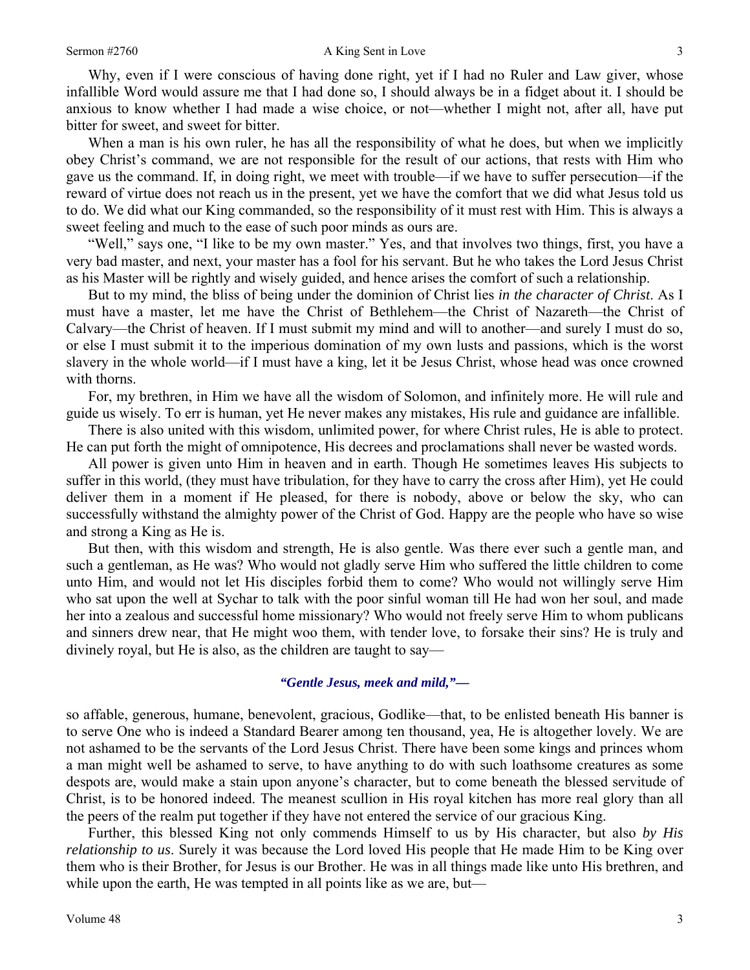Why, even if I were conscious of having done right, yet if I had no Ruler and Law giver, whose infallible Word would assure me that I had done so, I should always be in a fidget about it. I should be anxious to know whether I had made a wise choice, or not—whether I might not, after all, have put bitter for sweet, and sweet for bitter.

When a man is his own ruler, he has all the responsibility of what he does, but when we implicitly obey Christ's command, we are not responsible for the result of our actions, that rests with Him who gave us the command. If, in doing right, we meet with trouble—if we have to suffer persecution—if the reward of virtue does not reach us in the present, yet we have the comfort that we did what Jesus told us to do. We did what our King commanded, so the responsibility of it must rest with Him. This is always a sweet feeling and much to the ease of such poor minds as ours are.

"Well," says one, "I like to be my own master." Yes, and that involves two things, first, you have a very bad master, and next, your master has a fool for his servant. But he who takes the Lord Jesus Christ as his Master will be rightly and wisely guided, and hence arises the comfort of such a relationship.

But to my mind, the bliss of being under the dominion of Christ lies *in the character of Christ*. As I must have a master, let me have the Christ of Bethlehem—the Christ of Nazareth—the Christ of Calvary—the Christ of heaven. If I must submit my mind and will to another—and surely I must do so, or else I must submit it to the imperious domination of my own lusts and passions, which is the worst slavery in the whole world—if I must have a king, let it be Jesus Christ, whose head was once crowned with thorns.

For, my brethren, in Him we have all the wisdom of Solomon, and infinitely more. He will rule and guide us wisely. To err is human, yet He never makes any mistakes, His rule and guidance are infallible.

There is also united with this wisdom, unlimited power, for where Christ rules, He is able to protect. He can put forth the might of omnipotence, His decrees and proclamations shall never be wasted words.

All power is given unto Him in heaven and in earth. Though He sometimes leaves His subjects to suffer in this world, (they must have tribulation, for they have to carry the cross after Him), yet He could deliver them in a moment if He pleased, for there is nobody, above or below the sky, who can successfully withstand the almighty power of the Christ of God. Happy are the people who have so wise and strong a King as He is.

But then, with this wisdom and strength, He is also gentle. Was there ever such a gentle man, and such a gentleman, as He was? Who would not gladly serve Him who suffered the little children to come unto Him, and would not let His disciples forbid them to come? Who would not willingly serve Him who sat upon the well at Sychar to talk with the poor sinful woman till He had won her soul, and made her into a zealous and successful home missionary? Who would not freely serve Him to whom publicans and sinners drew near, that He might woo them, with tender love, to forsake their sins? He is truly and divinely royal, but He is also, as the children are taught to say—

#### *"Gentle Jesus, meek and mild,"—*

so affable, generous, humane, benevolent, gracious, Godlike—that, to be enlisted beneath His banner is to serve One who is indeed a Standard Bearer among ten thousand, yea, He is altogether lovely. We are not ashamed to be the servants of the Lord Jesus Christ. There have been some kings and princes whom a man might well be ashamed to serve, to have anything to do with such loathsome creatures as some despots are, would make a stain upon anyone's character, but to come beneath the blessed servitude of Christ, is to be honored indeed. The meanest scullion in His royal kitchen has more real glory than all the peers of the realm put together if they have not entered the service of our gracious King.

Further, this blessed King not only commends Himself to us by His character, but also *by His relationship to us*. Surely it was because the Lord loved His people that He made Him to be King over them who is their Brother, for Jesus is our Brother. He was in all things made like unto His brethren, and while upon the earth, He was tempted in all points like as we are, but—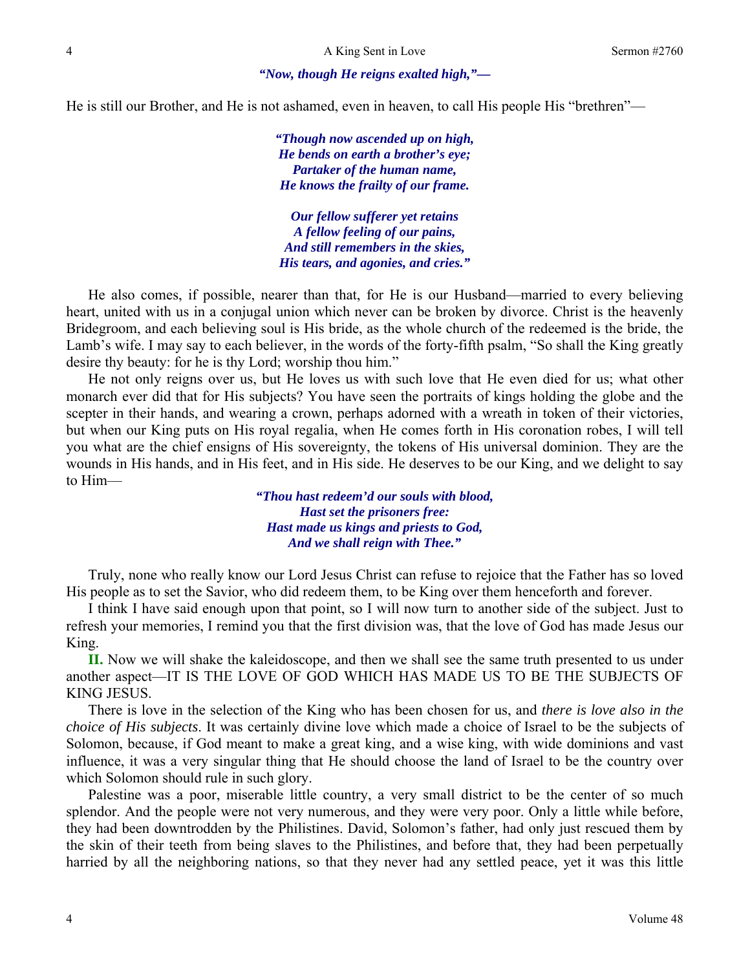#### *"Now, though He reigns exalted high,"—*

He is still our Brother, and He is not ashamed, even in heaven, to call His people His "brethren"—

*"Though now ascended up on high, He bends on earth a brother's eye; Partaker of the human name, He knows the frailty of our frame.* 

*Our fellow sufferer yet retains A fellow feeling of our pains, And still remembers in the skies, His tears, and agonies, and cries."* 

He also comes, if possible, nearer than that, for He is our Husband—married to every believing heart, united with us in a conjugal union which never can be broken by divorce. Christ is the heavenly Bridegroom, and each believing soul is His bride, as the whole church of the redeemed is the bride, the Lamb's wife. I may say to each believer, in the words of the forty-fifth psalm, "So shall the King greatly desire thy beauty: for he is thy Lord; worship thou him."

He not only reigns over us, but He loves us with such love that He even died for us; what other monarch ever did that for His subjects? You have seen the portraits of kings holding the globe and the scepter in their hands, and wearing a crown, perhaps adorned with a wreath in token of their victories, but when our King puts on His royal regalia, when He comes forth in His coronation robes, I will tell you what are the chief ensigns of His sovereignty, the tokens of His universal dominion. They are the wounds in His hands, and in His feet, and in His side. He deserves to be our King, and we delight to say to Him—

> *"Thou hast redeem'd our souls with blood, Hast set the prisoners free: Hast made us kings and priests to God, And we shall reign with Thee."*

Truly, none who really know our Lord Jesus Christ can refuse to rejoice that the Father has so loved His people as to set the Savior, who did redeem them, to be King over them henceforth and forever.

I think I have said enough upon that point, so I will now turn to another side of the subject. Just to refresh your memories, I remind you that the first division was, that the love of God has made Jesus our King.

**II.** Now we will shake the kaleidoscope, and then we shall see the same truth presented to us under another aspect—IT IS THE LOVE OF GOD WHICH HAS MADE US TO BE THE SUBJECTS OF KING JESUS.

There is love in the selection of the King who has been chosen for us, and *there is love also in the choice of His subjects*. It was certainly divine love which made a choice of Israel to be the subjects of Solomon, because, if God meant to make a great king, and a wise king, with wide dominions and vast influence, it was a very singular thing that He should choose the land of Israel to be the country over which Solomon should rule in such glory.

Palestine was a poor, miserable little country, a very small district to be the center of so much splendor. And the people were not very numerous, and they were very poor. Only a little while before, they had been downtrodden by the Philistines. David, Solomon's father, had only just rescued them by the skin of their teeth from being slaves to the Philistines, and before that, they had been perpetually harried by all the neighboring nations, so that they never had any settled peace, yet it was this little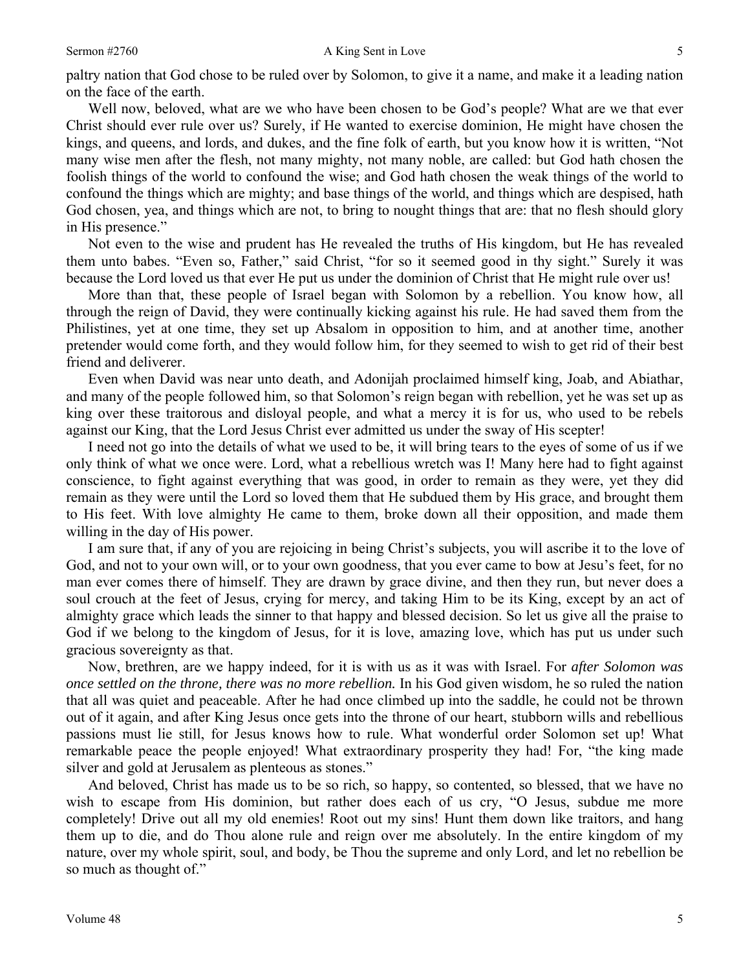#### Sermon #2760 **A King Sent in Love** 5

paltry nation that God chose to be ruled over by Solomon, to give it a name, and make it a leading nation on the face of the earth.

Well now, beloved, what are we who have been chosen to be God's people? What are we that ever Christ should ever rule over us? Surely, if He wanted to exercise dominion, He might have chosen the kings, and queens, and lords, and dukes, and the fine folk of earth, but you know how it is written, "Not many wise men after the flesh, not many mighty, not many noble, are called: but God hath chosen the foolish things of the world to confound the wise; and God hath chosen the weak things of the world to confound the things which are mighty; and base things of the world, and things which are despised, hath God chosen, yea, and things which are not, to bring to nought things that are: that no flesh should glory in His presence."

Not even to the wise and prudent has He revealed the truths of His kingdom, but He has revealed them unto babes. "Even so, Father," said Christ, "for so it seemed good in thy sight." Surely it was because the Lord loved us that ever He put us under the dominion of Christ that He might rule over us!

More than that, these people of Israel began with Solomon by a rebellion. You know how, all through the reign of David, they were continually kicking against his rule. He had saved them from the Philistines, yet at one time, they set up Absalom in opposition to him, and at another time, another pretender would come forth, and they would follow him, for they seemed to wish to get rid of their best friend and deliverer.

Even when David was near unto death, and Adonijah proclaimed himself king, Joab, and Abiathar, and many of the people followed him, so that Solomon's reign began with rebellion, yet he was set up as king over these traitorous and disloyal people, and what a mercy it is for us, who used to be rebels against our King, that the Lord Jesus Christ ever admitted us under the sway of His scepter!

I need not go into the details of what we used to be, it will bring tears to the eyes of some of us if we only think of what we once were. Lord, what a rebellious wretch was I! Many here had to fight against conscience, to fight against everything that was good, in order to remain as they were, yet they did remain as they were until the Lord so loved them that He subdued them by His grace, and brought them to His feet. With love almighty He came to them, broke down all their opposition, and made them willing in the day of His power.

I am sure that, if any of you are rejoicing in being Christ's subjects, you will ascribe it to the love of God, and not to your own will, or to your own goodness, that you ever came to bow at Jesu's feet, for no man ever comes there of himself. They are drawn by grace divine, and then they run, but never does a soul crouch at the feet of Jesus, crying for mercy, and taking Him to be its King, except by an act of almighty grace which leads the sinner to that happy and blessed decision. So let us give all the praise to God if we belong to the kingdom of Jesus, for it is love, amazing love, which has put us under such gracious sovereignty as that.

Now, brethren, are we happy indeed, for it is with us as it was with Israel. For *after Solomon was once settled on the throne, there was no more rebellion.* In his God given wisdom, he so ruled the nation that all was quiet and peaceable. After he had once climbed up into the saddle, he could not be thrown out of it again, and after King Jesus once gets into the throne of our heart, stubborn wills and rebellious passions must lie still, for Jesus knows how to rule. What wonderful order Solomon set up! What remarkable peace the people enjoyed! What extraordinary prosperity they had! For, "the king made silver and gold at Jerusalem as plenteous as stones."

And beloved, Christ has made us to be so rich, so happy, so contented, so blessed, that we have no wish to escape from His dominion, but rather does each of us cry, "O Jesus, subdue me more completely! Drive out all my old enemies! Root out my sins! Hunt them down like traitors, and hang them up to die, and do Thou alone rule and reign over me absolutely. In the entire kingdom of my nature, over my whole spirit, soul, and body, be Thou the supreme and only Lord, and let no rebellion be so much as thought of."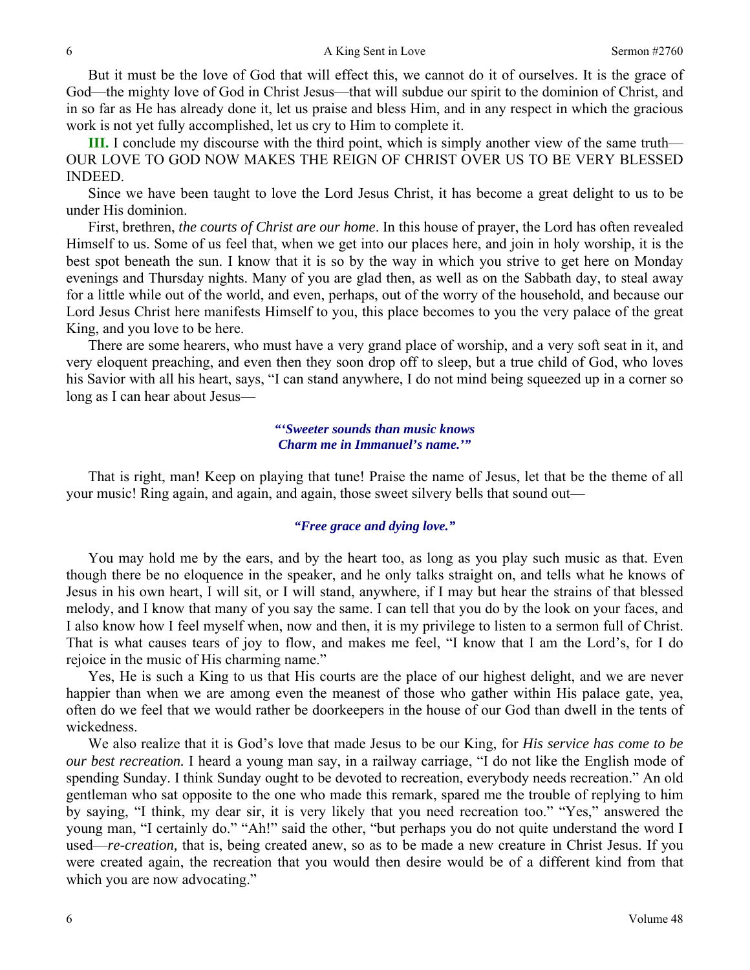But it must be the love of God that will effect this, we cannot do it of ourselves. It is the grace of God—the mighty love of God in Christ Jesus—that will subdue our spirit to the dominion of Christ, and in so far as He has already done it, let us praise and bless Him, and in any respect in which the gracious work is not yet fully accomplished, let us cry to Him to complete it.

**III.** I conclude my discourse with the third point, which is simply another view of the same truth— OUR LOVE TO GOD NOW MAKES THE REIGN OF CHRIST OVER US TO BE VERY BLESSED INDEED.

Since we have been taught to love the Lord Jesus Christ, it has become a great delight to us to be under His dominion.

First, brethren, *the courts of Christ are our home*. In this house of prayer, the Lord has often revealed Himself to us. Some of us feel that, when we get into our places here, and join in holy worship, it is the best spot beneath the sun. I know that it is so by the way in which you strive to get here on Monday evenings and Thursday nights. Many of you are glad then, as well as on the Sabbath day, to steal away for a little while out of the world, and even, perhaps, out of the worry of the household, and because our Lord Jesus Christ here manifests Himself to you, this place becomes to you the very palace of the great King, and you love to be here.

There are some hearers, who must have a very grand place of worship, and a very soft seat in it, and very eloquent preaching, and even then they soon drop off to sleep, but a true child of God, who loves his Savior with all his heart, says, "I can stand anywhere, I do not mind being squeezed up in a corner so long as I can hear about Jesus—

> *"'Sweeter sounds than music knows Charm me in Immanuel's name.'"*

That is right, man! Keep on playing that tune! Praise the name of Jesus, let that be the theme of all your music! Ring again, and again, and again, those sweet silvery bells that sound out—

#### *"Free grace and dying love."*

You may hold me by the ears, and by the heart too, as long as you play such music as that. Even though there be no eloquence in the speaker, and he only talks straight on, and tells what he knows of Jesus in his own heart, I will sit, or I will stand, anywhere, if I may but hear the strains of that blessed melody, and I know that many of you say the same. I can tell that you do by the look on your faces, and I also know how I feel myself when, now and then, it is my privilege to listen to a sermon full of Christ. That is what causes tears of joy to flow, and makes me feel, "I know that I am the Lord's, for I do rejoice in the music of His charming name."

Yes, He is such a King to us that His courts are the place of our highest delight, and we are never happier than when we are among even the meanest of those who gather within His palace gate, yea, often do we feel that we would rather be doorkeepers in the house of our God than dwell in the tents of wickedness.

We also realize that it is God's love that made Jesus to be our King, for *His service has come to be our best recreation.* I heard a young man say, in a railway carriage, "I do not like the English mode of spending Sunday. I think Sunday ought to be devoted to recreation, everybody needs recreation." An old gentleman who sat opposite to the one who made this remark, spared me the trouble of replying to him by saying, "I think, my dear sir, it is very likely that you need recreation too." "Yes," answered the young man, "I certainly do." "Ah!" said the other, "but perhaps you do not quite understand the word I used—*re-creation,* that is, being created anew, so as to be made a new creature in Christ Jesus. If you were created again, the recreation that you would then desire would be of a different kind from that which you are now advocating."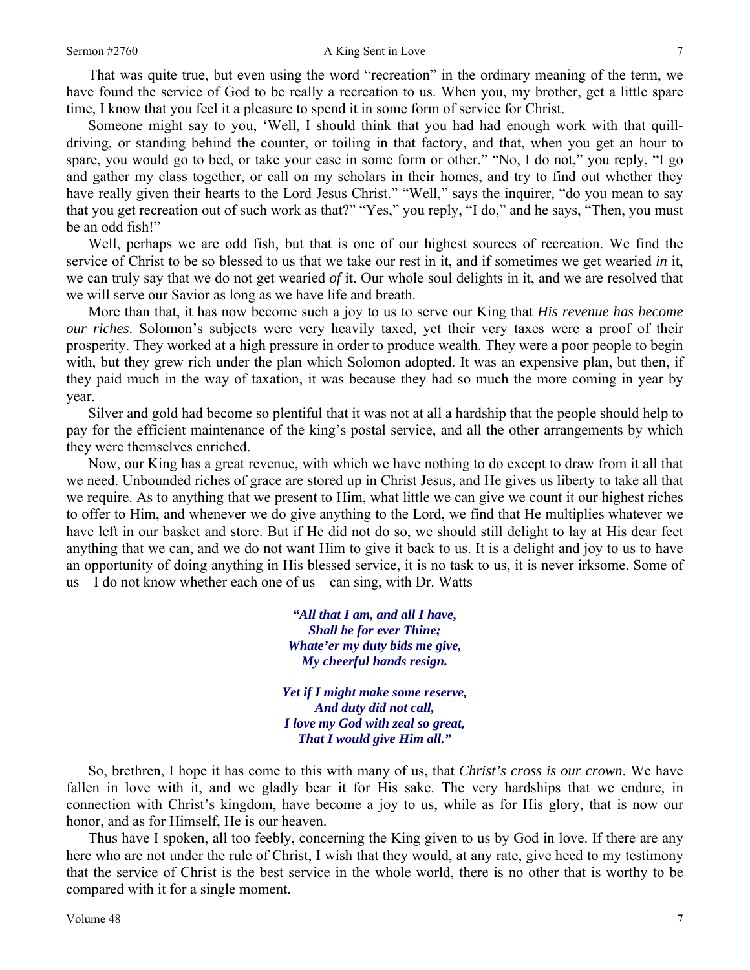That was quite true, but even using the word "recreation" in the ordinary meaning of the term, we have found the service of God to be really a recreation to us. When you, my brother, get a little spare time, I know that you feel it a pleasure to spend it in some form of service for Christ.

Someone might say to you, 'Well, I should think that you had had enough work with that quilldriving, or standing behind the counter, or toiling in that factory, and that, when you get an hour to spare, you would go to bed, or take your ease in some form or other." "No, I do not," you reply, "I go and gather my class together, or call on my scholars in their homes, and try to find out whether they have really given their hearts to the Lord Jesus Christ." "Well," says the inquirer, "do you mean to say that you get recreation out of such work as that?" "Yes," you reply, "I do," and he says, "Then, you must be an odd fish!"

Well, perhaps we are odd fish, but that is one of our highest sources of recreation. We find the service of Christ to be so blessed to us that we take our rest in it, and if sometimes we get wearied *in* it, we can truly say that we do not get wearied *of* it. Our whole soul delights in it, and we are resolved that we will serve our Savior as long as we have life and breath.

More than that, it has now become such a joy to us to serve our King that *His revenue has become our riches*. Solomon's subjects were very heavily taxed, yet their very taxes were a proof of their prosperity. They worked at a high pressure in order to produce wealth. They were a poor people to begin with, but they grew rich under the plan which Solomon adopted. It was an expensive plan, but then, if they paid much in the way of taxation, it was because they had so much the more coming in year by year.

Silver and gold had become so plentiful that it was not at all a hardship that the people should help to pay for the efficient maintenance of the king's postal service, and all the other arrangements by which they were themselves enriched.

Now, our King has a great revenue, with which we have nothing to do except to draw from it all that we need. Unbounded riches of grace are stored up in Christ Jesus, and He gives us liberty to take all that we require. As to anything that we present to Him, what little we can give we count it our highest riches to offer to Him, and whenever we do give anything to the Lord, we find that He multiplies whatever we have left in our basket and store. But if He did not do so, we should still delight to lay at His dear feet anything that we can, and we do not want Him to give it back to us. It is a delight and joy to us to have an opportunity of doing anything in His blessed service, it is no task to us, it is never irksome. Some of us—I do not know whether each one of us—can sing, with Dr. Watts—

> *"All that I am, and all I have, Shall be for ever Thine; Whate'er my duty bids me give, My cheerful hands resign.*

*Yet if I might make some reserve, And duty did not call, I love my God with zeal so great, That I would give Him all."* 

So, brethren, I hope it has come to this with many of us, that *Christ's cross is our crown*. We have fallen in love with it, and we gladly bear it for His sake. The very hardships that we endure, in connection with Christ's kingdom, have become a joy to us, while as for His glory, that is now our honor, and as for Himself, He is our heaven.

Thus have I spoken, all too feebly, concerning the King given to us by God in love. If there are any here who are not under the rule of Christ, I wish that they would, at any rate, give heed to my testimony that the service of Christ is the best service in the whole world, there is no other that is worthy to be compared with it for a single moment.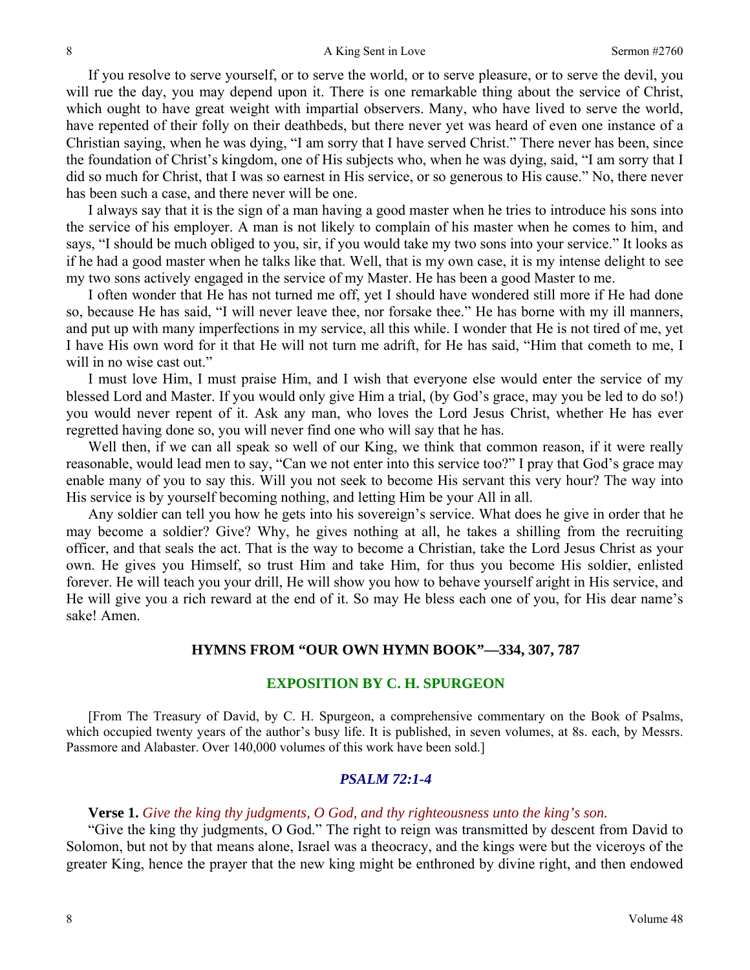If you resolve to serve yourself, or to serve the world, or to serve pleasure, or to serve the devil, you will rue the day, you may depend upon it. There is one remarkable thing about the service of Christ, which ought to have great weight with impartial observers. Many, who have lived to serve the world, have repented of their folly on their deathbeds, but there never yet was heard of even one instance of a Christian saying, when he was dying, "I am sorry that I have served Christ." There never has been, since the foundation of Christ's kingdom, one of His subjects who, when he was dying, said, "I am sorry that I did so much for Christ, that I was so earnest in His service, or so generous to His cause." No, there never has been such a case, and there never will be one.

I always say that it is the sign of a man having a good master when he tries to introduce his sons into the service of his employer. A man is not likely to complain of his master when he comes to him, and says, "I should be much obliged to you, sir, if you would take my two sons into your service." It looks as if he had a good master when he talks like that. Well, that is my own case, it is my intense delight to see my two sons actively engaged in the service of my Master. He has been a good Master to me.

I often wonder that He has not turned me off, yet I should have wondered still more if He had done so, because He has said, "I will never leave thee, nor forsake thee." He has borne with my ill manners, and put up with many imperfections in my service, all this while. I wonder that He is not tired of me, yet I have His own word for it that He will not turn me adrift, for He has said, "Him that cometh to me, I will in no wise cast out."

I must love Him, I must praise Him, and I wish that everyone else would enter the service of my blessed Lord and Master. If you would only give Him a trial, (by God's grace, may you be led to do so!) you would never repent of it. Ask any man, who loves the Lord Jesus Christ, whether He has ever regretted having done so, you will never find one who will say that he has.

Well then, if we can all speak so well of our King, we think that common reason, if it were really reasonable, would lead men to say, "Can we not enter into this service too?" I pray that God's grace may enable many of you to say this. Will you not seek to become His servant this very hour? The way into His service is by yourself becoming nothing, and letting Him be your All in all.

Any soldier can tell you how he gets into his sovereign's service. What does he give in order that he may become a soldier? Give? Why, he gives nothing at all, he takes a shilling from the recruiting officer, and that seals the act. That is the way to become a Christian, take the Lord Jesus Christ as your own. He gives you Himself, so trust Him and take Him, for thus you become His soldier, enlisted forever. He will teach you your drill, He will show you how to behave yourself aright in His service, and He will give you a rich reward at the end of it. So may He bless each one of you, for His dear name's sake! Amen.

#### **HYMNS FROM "OUR OWN HYMN BOOK"—334, 307, 787**

## **EXPOSITION BY C. H. SPURGEON**

[From The Treasury of David, by C. H. Spurgeon, a comprehensive commentary on the Book of Psalms, which occupied twenty years of the author's busy life. It is published, in seven volumes, at 8s. each, by Messrs. Passmore and Alabaster. Over 140,000 volumes of this work have been sold.]

#### *PSALM 72:1-4*

# **Verse 1.** *Give the king thy judgments, O God, and thy righteousness unto the king's son.*

"Give the king thy judgments, O God." The right to reign was transmitted by descent from David to Solomon, but not by that means alone, Israel was a theocracy, and the kings were but the viceroys of the greater King, hence the prayer that the new king might be enthroned by divine right, and then endowed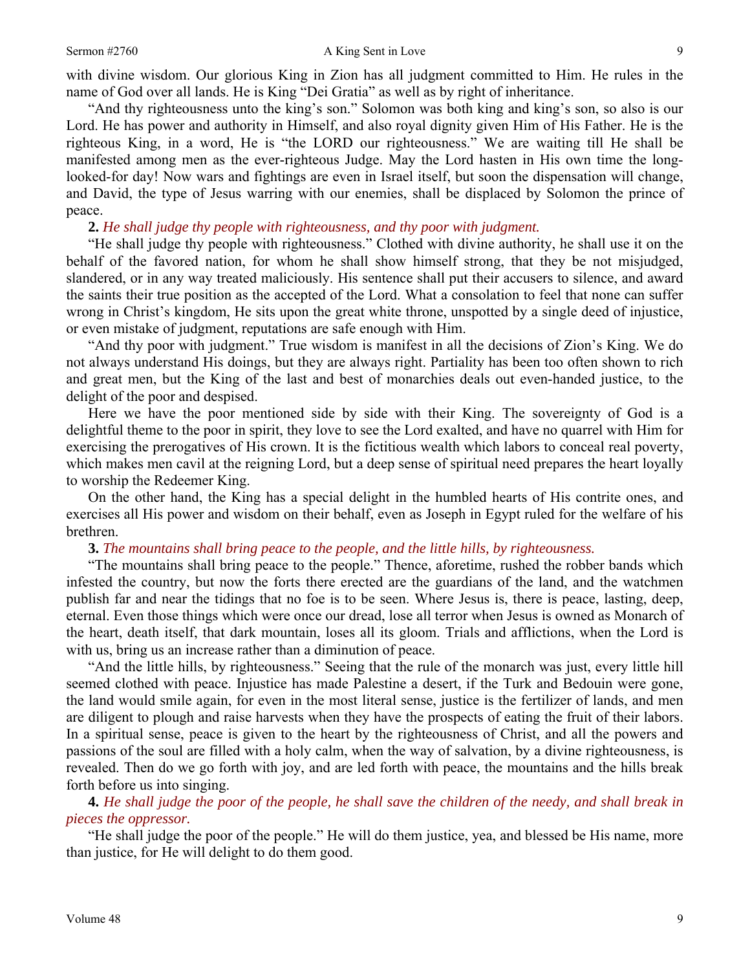with divine wisdom. Our glorious King in Zion has all judgment committed to Him. He rules in the name of God over all lands. He is King "Dei Gratia" as well as by right of inheritance.

"And thy righteousness unto the king's son." Solomon was both king and king's son, so also is our Lord. He has power and authority in Himself, and also royal dignity given Him of His Father. He is the righteous King, in a word, He is "the LORD our righteousness." We are waiting till He shall be manifested among men as the ever-righteous Judge. May the Lord hasten in His own time the longlooked-for day! Now wars and fightings are even in Israel itself, but soon the dispensation will change, and David, the type of Jesus warring with our enemies, shall be displaced by Solomon the prince of peace.

**2.** *He shall judge thy people with righteousness, and thy poor with judgment.* 

"He shall judge thy people with righteousness." Clothed with divine authority, he shall use it on the behalf of the favored nation, for whom he shall show himself strong, that they be not misjudged, slandered, or in any way treated maliciously. His sentence shall put their accusers to silence, and award the saints their true position as the accepted of the Lord. What a consolation to feel that none can suffer wrong in Christ's kingdom, He sits upon the great white throne, unspotted by a single deed of injustice, or even mistake of judgment, reputations are safe enough with Him.

"And thy poor with judgment." True wisdom is manifest in all the decisions of Zion's King. We do not always understand His doings, but they are always right. Partiality has been too often shown to rich and great men, but the King of the last and best of monarchies deals out even-handed justice, to the delight of the poor and despised.

Here we have the poor mentioned side by side with their King. The sovereignty of God is a delightful theme to the poor in spirit, they love to see the Lord exalted, and have no quarrel with Him for exercising the prerogatives of His crown. It is the fictitious wealth which labors to conceal real poverty, which makes men cavil at the reigning Lord, but a deep sense of spiritual need prepares the heart loyally to worship the Redeemer King.

On the other hand, the King has a special delight in the humbled hearts of His contrite ones, and exercises all His power and wisdom on their behalf, even as Joseph in Egypt ruled for the welfare of his brethren.

**3.** *The mountains shall bring peace to the people, and the little hills, by righteousness.* 

"The mountains shall bring peace to the people." Thence, aforetime, rushed the robber bands which infested the country, but now the forts there erected are the guardians of the land, and the watchmen publish far and near the tidings that no foe is to be seen. Where Jesus is, there is peace, lasting, deep, eternal. Even those things which were once our dread, lose all terror when Jesus is owned as Monarch of the heart, death itself, that dark mountain, loses all its gloom. Trials and afflictions, when the Lord is with us, bring us an increase rather than a diminution of peace.

"And the little hills, by righteousness." Seeing that the rule of the monarch was just, every little hill seemed clothed with peace. Injustice has made Palestine a desert, if the Turk and Bedouin were gone, the land would smile again, for even in the most literal sense, justice is the fertilizer of lands, and men are diligent to plough and raise harvests when they have the prospects of eating the fruit of their labors. In a spiritual sense, peace is given to the heart by the righteousness of Christ, and all the powers and passions of the soul are filled with a holy calm, when the way of salvation, by a divine righteousness, is revealed. Then do we go forth with joy, and are led forth with peace, the mountains and the hills break forth before us into singing.

**4.** *He shall judge the poor of the people, he shall save the children of the needy, and shall break in pieces the oppressor.* 

"He shall judge the poor of the people." He will do them justice, yea, and blessed be His name, more than justice, for He will delight to do them good.